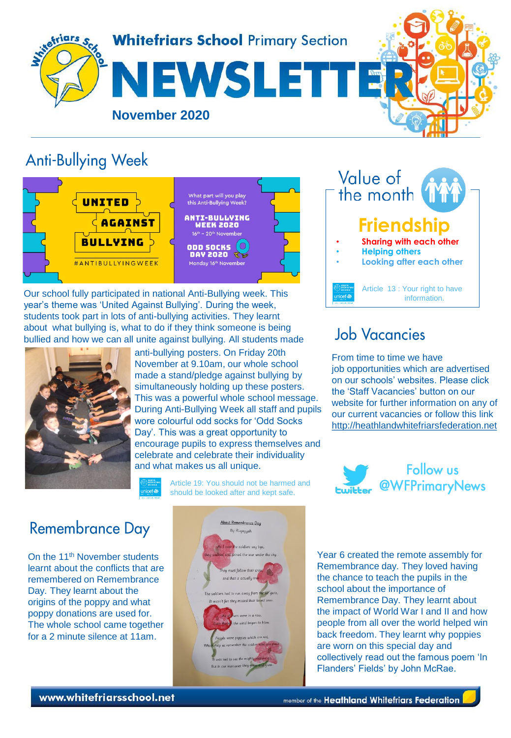

#### **Anti-Bullying Week**



Our school fully participated in national Anti-Bullying week. This year's theme was 'United Against Bullying'. During the week, students took part in lots of anti-bullying activities. They learnt about what bullying is, what to do if they think someone is being bullied and how we can all unite against bullying. All students made



anti-bullying posters. On Friday 20th November at 9.10am, our whole school made a stand/pledge against bullying by simultaneously holding up these posters. This was a powerful whole school message. During Anti-Bullying Week all staff and pupils wore colourful odd socks for 'Odd Socks Day'. This was a great opportunity to encourage pupils to express themselves and celebrate and celebrate their individuality and what makes us all unique.

> Article 19: You should not be harmed and should be looked after and kept safe.

#### Value of the month **Friendship** • **Sharing with each other**  • **Helping others**  • **Looking after each other**  Article 13 : Your right to have information.

# **Job Vacancies**

From time to time we have job opportunities which are advertised on our schools' websites. Please click the 'Staff Vacancies' button on our website for further information on any of our current vacancies or follow this link [http://heathlandwhitefriarsfederation.net](http://heathlandwhitefriarsfederation.net/)



#### **Remembrance Day**

On the 11th November students learnt about the conflicts that are remembered on Remembrance Day. They learnt about the origins of the poppy and what poppy donations are used for. The whole school came together for a 2 minute silence at 11am.



Year 6 created the remote assembly for Remembrance day. They loved having the chance to teach the pupils in the school about the importance of Remembrance Day. They learnt about the impact of World War I and II and how people from all over the world helped win back freedom. They learnt why poppies are worn on this special day and collectively read out the famous poem 'In Flanders' Fields' by John McRae.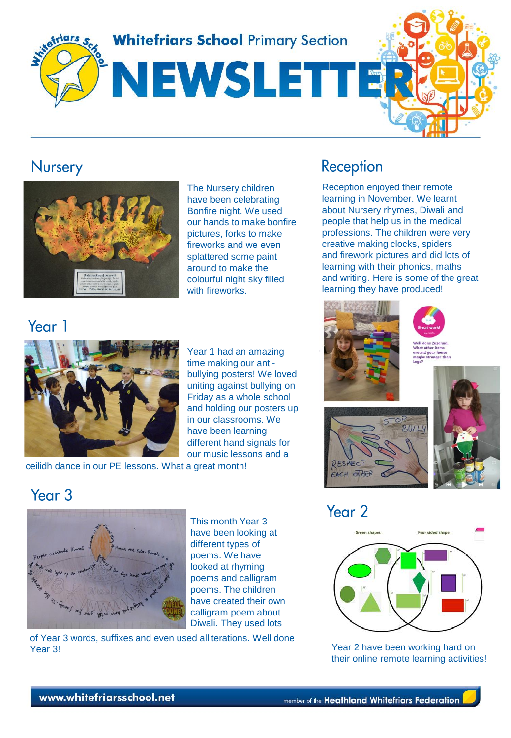**Whitefriars School Primary Section** 

# NEWSLETT



#### Nursery



The Nursery children have been celebrating Bonfire night. We used our hands to make bonfire pictures, forks to make fireworks and we even splattered some paint around to make the colourful night sky filled with fireworks.

### Year 1



Year 1 had an amazing time making our antibullying posters! We loved uniting against bullying on Friday as a whole school and holding our posters up in our classrooms. We have been learning different hand signals for our music lessons and a

ceilidh dance in our PE lessons. What a great month!

## Reception

Reception enjoyed their remote learning in November. We learnt about Nursery rhymes, Diwali and people that help us in the medical professions. The children were very creative making clocks, spiders and firework pictures and did lots of learning with their phonics, maths and writing. Here is some of the great learning they have produced!









# Year<sub>2</sub>



their online remote learning activities!

#### Year<sub>3</sub>



This month Year 3 have been looking at different types of poems. We have looked at rhyming poems and calligram poems. The children have created their own calligram poem about Diwali. They used lots

of Year 3 words, suffixes and even used alliterations. Well done Year 3! Year 2 have been working hard on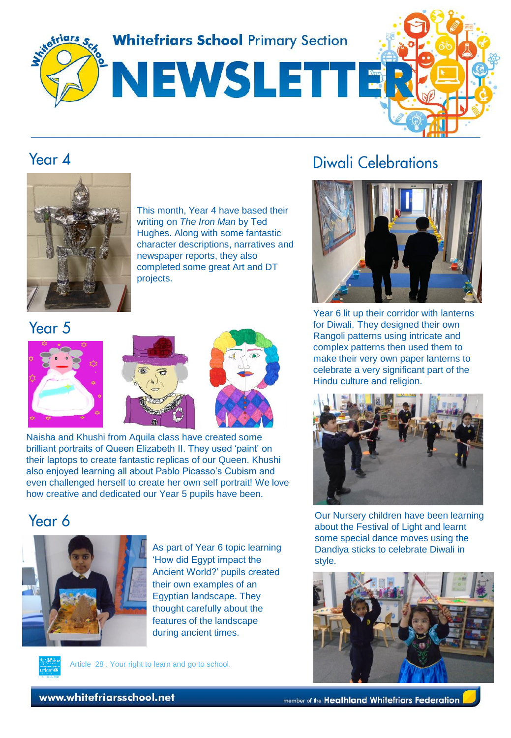

#### Year  $\Delta$



This month, Year 4 have based their writing on *The Iron Man* by Ted Hughes. Along with some fantastic character descriptions, narratives and newspaper reports, they also completed some great Art and DT projects.

Year 5



Naisha and Khushi from Aquila class have created some brilliant portraits of Queen Elizabeth II. They used 'paint' on their laptops to create fantastic replicas of our Queen. Khushi also enjoyed learning all about Pablo Picasso's Cubism and even challenged herself to create her own self portrait! We love how creative and dedicated our Year 5 pupils have been.

#### Year 6



As part of Year 6 topic learning 'How did Egypt impact the Ancient World?' pupils created their own examples of an Egyptian landscape. They thought carefully about the features of the landscape during ancient times.

Article 28 : Your right to learn and go to school.

### Diwali Celebrations



Year 6 lit up their corridor with lanterns for Diwali. They designed their own Rangoli patterns using intricate and complex patterns then used them to make their very own paper lanterns to celebrate a very significant part of the Hindu culture and religion.



Our Nursery children have been learning about the Festival of Light and learnt some special dance moves using the Dandiya sticks to celebrate Diwali in style.



www.whitefriarsschool.net